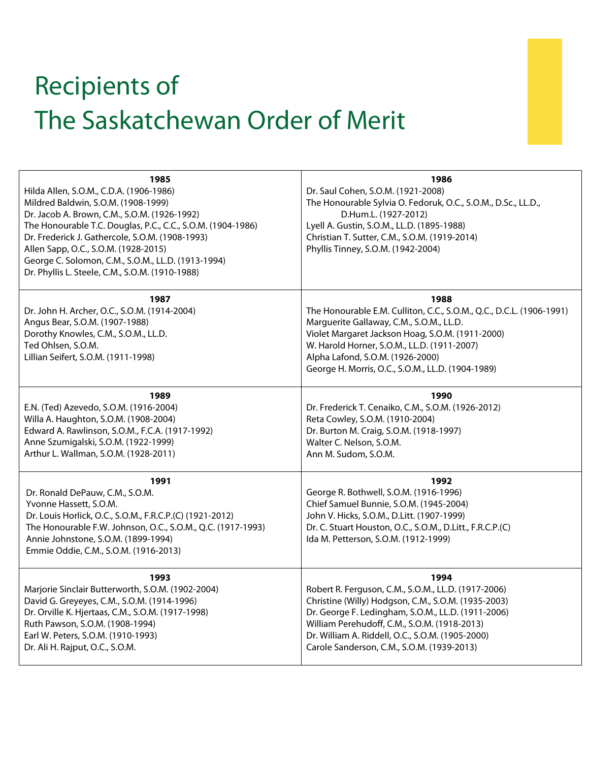## Recipients of The Saskatchewan Order of Merit

| 1985<br>Hilda Allen, S.O.M., C.D.A. (1906-1986)<br>Mildred Baldwin, S.O.M. (1908-1999)<br>Dr. Jacob A. Brown, C.M., S.O.M. (1926-1992)<br>The Honourable T.C. Douglas, P.C., C.C., S.O.M. (1904-1986)<br>Dr. Frederick J. Gathercole, S.O.M. (1908-1993)<br>Allen Sapp, O.C., S.O.M. (1928-2015)<br>George C. Solomon, C.M., S.O.M., LL.D. (1913-1994)<br>Dr. Phyllis L. Steele, C.M., S.O.M. (1910-1988) | 1986<br>Dr. Saul Cohen, S.O.M. (1921-2008)<br>The Honourable Sylvia O. Fedoruk, O.C., S.O.M., D.Sc., LL.D.,<br>D.Hum.L. (1927-2012)<br>Lyell A. Gustin, S.O.M., LL.D. (1895-1988)<br>Christian T. Sutter, C.M., S.O.M. (1919-2014)<br>Phyllis Tinney, S.O.M. (1942-2004)                                                   |
|-----------------------------------------------------------------------------------------------------------------------------------------------------------------------------------------------------------------------------------------------------------------------------------------------------------------------------------------------------------------------------------------------------------|----------------------------------------------------------------------------------------------------------------------------------------------------------------------------------------------------------------------------------------------------------------------------------------------------------------------------|
| 1987<br>Dr. John H. Archer, O.C., S.O.M. (1914-2004)<br>Angus Bear, S.O.M. (1907-1988)<br>Dorothy Knowles, C.M., S.O.M., LL.D.<br>Ted Ohlsen, S.O.M.<br>Lillian Seifert, S.O.M. (1911-1998)                                                                                                                                                                                                               | 1988<br>The Honourable E.M. Culliton, C.C., S.O.M., Q.C., D.C.L. (1906-1991)<br>Marguerite Gallaway, C.M., S.O.M., LL.D.<br>Violet Margaret Jackson Hoag, S.O.M. (1911-2000)<br>W. Harold Horner, S.O.M., LL.D. (1911-2007)<br>Alpha Lafond, S.O.M. (1926-2000)<br>George H. Morris, O.C., S.O.M., LL.D. (1904-1989)       |
| 1989<br>E.N. (Ted) Azevedo, S.O.M. (1916-2004)<br>Willa A. Haughton, S.O.M. (1908-2004)<br>Edward A. Rawlinson, S.O.M., F.C.A. (1917-1992)<br>Anne Szumigalski, S.O.M. (1922-1999)<br>Arthur L. Wallman, S.O.M. (1928-2011)                                                                                                                                                                               | 1990<br>Dr. Frederick T. Cenaiko, C.M., S.O.M. (1926-2012)<br>Reta Cowley, S.O.M. (1910-2004)<br>Dr. Burton M. Craig, S.O.M. (1918-1997)<br>Walter C. Nelson, S.O.M.<br>Ann M. Sudom, S.O.M.                                                                                                                               |
| 1991<br>Dr. Ronald DePauw, C.M., S.O.M.<br>Yvonne Hassett, S.O.M.<br>Dr. Louis Horlick, O.C., S.O.M., F.R.C.P.(C) (1921-2012)<br>The Honourable F.W. Johnson, O.C., S.O.M., Q.C. (1917-1993)<br>Annie Johnstone, S.O.M. (1899-1994)<br>Emmie Oddie, C.M., S.O.M. (1916-2013)                                                                                                                              | 1992<br>George R. Bothwell, S.O.M. (1916-1996)<br>Chief Samuel Bunnie, S.O.M. (1945-2004)<br>John V. Hicks, S.O.M., D.Litt. (1907-1999)<br>Dr. C. Stuart Houston, O.C., S.O.M., D.Litt., F.R.C.P.(C)<br>Ida M. Petterson, S.O.M. (1912-1999)                                                                               |
| 1993<br>Marjorie Sinclair Butterworth, S.O.M. (1902-2004)<br>David G. Greyeyes, C.M., S.O.M. (1914-1996)<br>Dr. Orville K. Hjertaas, C.M., S.O.M. (1917-1998)<br>Ruth Pawson, S.O.M. (1908-1994)<br>Earl W. Peters, S.O.M. (1910-1993)<br>Dr. Ali H. Rajput, O.C., S.O.M.                                                                                                                                 | 1994<br>Robert R. Ferguson, C.M., S.O.M., LL.D. (1917-2006)<br>Christine (Willy) Hodgson, C.M., S.O.M. (1935-2003)<br>Dr. George F. Ledingham, S.O.M., LL.D. (1911-2006)<br>William Perehudoff, C.M., S.O.M. (1918-2013)<br>Dr. William A. Riddell, O.C., S.O.M. (1905-2000)<br>Carole Sanderson, C.M., S.O.M. (1939-2013) |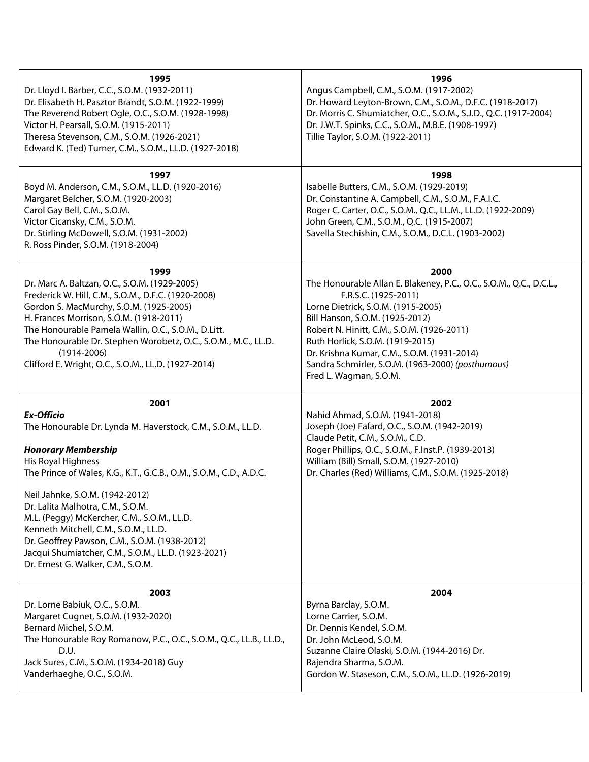| 1995<br>Dr. Lloyd I. Barber, C.C., S.O.M. (1932-2011)<br>Dr. Elisabeth H. Pasztor Brandt, S.O.M. (1922-1999)<br>The Reverend Robert Ogle, O.C., S.O.M. (1928-1998)<br>Victor H. Pearsall, S.O.M. (1915-2011)<br>Theresa Stevenson, C.M., S.O.M. (1926-2021)<br>Edward K. (Ted) Turner, C.M., S.O.M., LL.D. (1927-2018)                                                                                                                                                                                                            | 1996<br>Angus Campbell, C.M., S.O.M. (1917-2002)<br>Dr. Howard Leyton-Brown, C.M., S.O.M., D.F.C. (1918-2017)<br>Dr. Morris C. Shumiatcher, O.C., S.O.M., S.J.D., Q.C. (1917-2004)<br>Dr. J.W.T. Spinks, C.C., S.O.M., M.B.E. (1908-1997)<br>Tillie Taylor, S.O.M. (1922-2011)                                                                                                               |
|-----------------------------------------------------------------------------------------------------------------------------------------------------------------------------------------------------------------------------------------------------------------------------------------------------------------------------------------------------------------------------------------------------------------------------------------------------------------------------------------------------------------------------------|----------------------------------------------------------------------------------------------------------------------------------------------------------------------------------------------------------------------------------------------------------------------------------------------------------------------------------------------------------------------------------------------|
| 1997<br>Boyd M. Anderson, C.M., S.O.M., LL.D. (1920-2016)<br>Margaret Belcher, S.O.M. (1920-2003)<br>Carol Gay Bell, C.M., S.O.M.<br>Victor Cicansky, C.M., S.O.M.<br>Dr. Stirling McDowell, S.O.M. (1931-2002)<br>R. Ross Pinder, S.O.M. (1918-2004)                                                                                                                                                                                                                                                                             | 1998<br>Isabelle Butters, C.M., S.O.M. (1929-2019)<br>Dr. Constantine A. Campbell, C.M., S.O.M., F.A.I.C.<br>Roger C. Carter, O.C., S.O.M., Q.C., LL.M., LL.D. (1922-2009)<br>John Green, C.M., S.O.M., Q.C. (1915-2007)<br>Savella Stechishin, C.M., S.O.M., D.C.L. (1903-2002)                                                                                                             |
| 1999<br>Dr. Marc A. Baltzan, O.C., S.O.M. (1929-2005)<br>Frederick W. Hill, C.M., S.O.M., D.F.C. (1920-2008)<br>Gordon S. MacMurchy, S.O.M. (1925-2005)<br>H. Frances Morrison, S.O.M. (1918-2011)<br>The Honourable Pamela Wallin, O.C., S.O.M., D.Litt.<br>The Honourable Dr. Stephen Worobetz, O.C., S.O.M., M.C., LL.D.<br>$(1914 - 2006)$<br>Clifford E. Wright, O.C., S.O.M., LL.D. (1927-2014)                                                                                                                             | 2000<br>The Honourable Allan E. Blakeney, P.C., O.C., S.O.M., Q.C., D.C.L.,<br>F.R.S.C. (1925-2011)<br>Lorne Dietrick, S.O.M. (1915-2005)<br>Bill Hanson, S.O.M. (1925-2012)<br>Robert N. Hinitt, C.M., S.O.M. (1926-2011)<br>Ruth Horlick, S.O.M. (1919-2015)<br>Dr. Krishna Kumar, C.M., S.O.M. (1931-2014)<br>Sandra Schmirler, S.O.M. (1963-2000) (posthumous)<br>Fred L. Wagman, S.O.M. |
| 2001<br><b>Ex-Officio</b><br>The Honourable Dr. Lynda M. Haverstock, C.M., S.O.M., LL.D.<br><b>Honorary Membership</b><br>His Royal Highness<br>The Prince of Wales, K.G., K.T., G.C.B., O.M., S.O.M., C.D., A.D.C.<br>Neil Jahnke, S.O.M. (1942-2012)<br>Dr. Lalita Malhotra, C.M., S.O.M.<br>M.L. (Peggy) McKercher, C.M., S.O.M., LL.D.<br>Kenneth Mitchell, C.M., S.O.M., LL.D.<br>Dr. Geoffrey Pawson, C.M., S.O.M. (1938-2012)<br>Jacqui Shumiatcher, C.M., S.O.M., LL.D. (1923-2021)<br>Dr. Ernest G. Walker, C.M., S.O.M. | 2002<br>Nahid Ahmad, S.O.M. (1941-2018)<br>Joseph (Joe) Fafard, O.C., S.O.M. (1942-2019)<br>Claude Petit, C.M., S.O.M., C.D.<br>Roger Phillips, O.C., S.O.M., F.Inst.P. (1939-2013)<br>William (Bill) Small, S.O.M. (1927-2010)<br>Dr. Charles (Red) Williams, C.M., S.O.M. (1925-2018)                                                                                                      |
| 2003<br>Dr. Lorne Babiuk, O.C., S.O.M.<br>Margaret Cugnet, S.O.M. (1932-2020)<br>Bernard Michel, S.O.M.<br>The Honourable Roy Romanow, P.C., O.C., S.O.M., Q.C., LL.B., LL.D.,<br>D.U.<br>Jack Sures, C.M., S.O.M. (1934-2018) Guy<br>Vanderhaeghe, O.C., S.O.M.                                                                                                                                                                                                                                                                  | 2004<br>Byrna Barclay, S.O.M.<br>Lorne Carrier, S.O.M.<br>Dr. Dennis Kendel, S.O.M.<br>Dr. John McLeod, S.O.M.<br>Suzanne Claire Olaski, S.O.M. (1944-2016) Dr.<br>Rajendra Sharma, S.O.M.<br>Gordon W. Staseson, C.M., S.O.M., LL.D. (1926-2019)                                                                                                                                            |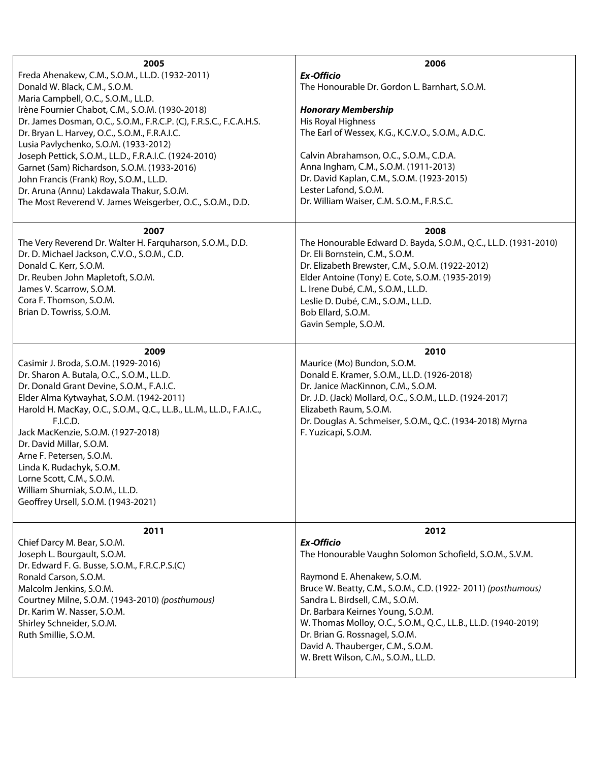| 2005<br>Freda Ahenakew, C.M., S.O.M., LL.D. (1932-2011)<br>Donald W. Black, C.M., S.O.M.<br>Maria Campbell, O.C., S.O.M., LL.D.<br>Irène Fournier Chabot, C.M., S.O.M. (1930-2018)<br>Dr. James Dosman, O.C., S.O.M., F.R.C.P. (C), F.R.S.C., F.C.A.H.S.<br>Dr. Bryan L. Harvey, O.C., S.O.M., F.R.A.I.C.<br>Lusia Pavlychenko, S.O.M. (1933-2012)<br>Joseph Pettick, S.O.M., LL.D., F.R.A.I.C. (1924-2010)<br>Garnet (Sam) Richardson, S.O.M. (1933-2016)<br>John Francis (Frank) Roy, S.O.M., LL.D.<br>Dr. Aruna (Annu) Lakdawala Thakur, S.O.M.<br>The Most Reverend V. James Weisgerber, O.C., S.O.M., D.D. | 2006<br><b>Ex-Officio</b><br>The Honourable Dr. Gordon L. Barnhart, S.O.M.<br><b>Honorary Membership</b><br>His Royal Highness<br>The Earl of Wessex, K.G., K.C.V.O., S.O.M., A.D.C.<br>Calvin Abrahamson, O.C., S.O.M., C.D.A.<br>Anna Ingham, C.M., S.O.M. (1911-2013)<br>Dr. David Kaplan, C.M., S.O.M. (1923-2015)<br>Lester Lafond, S.O.M.<br>Dr. William Waiser, C.M. S.O.M., F.R.S.C.                                                  |
|-----------------------------------------------------------------------------------------------------------------------------------------------------------------------------------------------------------------------------------------------------------------------------------------------------------------------------------------------------------------------------------------------------------------------------------------------------------------------------------------------------------------------------------------------------------------------------------------------------------------|-----------------------------------------------------------------------------------------------------------------------------------------------------------------------------------------------------------------------------------------------------------------------------------------------------------------------------------------------------------------------------------------------------------------------------------------------|
| 2007<br>The Very Reverend Dr. Walter H. Farquharson, S.O.M., D.D.<br>Dr. D. Michael Jackson, C.V.O., S.O.M., C.D.<br>Donald C. Kerr, S.O.M.<br>Dr. Reuben John Mapletoft, S.O.M.<br>James V. Scarrow, S.O.M.<br>Cora F. Thomson, S.O.M.<br>Brian D. Towriss, S.O.M.                                                                                                                                                                                                                                                                                                                                             | 2008<br>The Honourable Edward D. Bayda, S.O.M., Q.C., LL.D. (1931-2010)<br>Dr. Eli Bornstein, C.M., S.O.M.<br>Dr. Elizabeth Brewster, C.M., S.O.M. (1922-2012)<br>Elder Antoine (Tony) E. Cote, S.O.M. (1935-2019)<br>L. Irene Dubé, C.M., S.O.M., LL.D.<br>Leslie D. Dubé, C.M., S.O.M., LL.D.<br>Bob Ellard, S.O.M.<br>Gavin Semple, S.O.M.                                                                                                 |
| 2009<br>Casimir J. Broda, S.O.M. (1929-2016)<br>Dr. Sharon A. Butala, O.C., S.O.M., LL.D.<br>Dr. Donald Grant Devine, S.O.M., F.A.I.C.<br>Elder Alma Kytwayhat, S.O.M. (1942-2011)<br>Harold H. MacKay, O.C., S.O.M., Q.C., LL.B., LL.M., LL.D., F.A.I.C.,<br>F.I.C.D.<br>Jack MacKenzie, S.O.M. (1927-2018)<br>Dr. David Millar, S.O.M.<br>Arne F. Petersen, S.O.M.<br>Linda K. Rudachyk, S.O.M.<br>Lorne Scott, C.M., S.O.M.<br>William Shurniak, S.O.M., LL.D.<br>Geoffrey Ursell, S.O.M. (1943-2021)                                                                                                        | 2010<br>Maurice (Mo) Bundon, S.O.M.<br>Donald E. Kramer, S.O.M., LL.D. (1926-2018)<br>Dr. Janice MacKinnon, C.M., S.O.M.<br>Dr. J.D. (Jack) Mollard, O.C., S.O.M., LL.D. (1924-2017)<br>Elizabeth Raum, S.O.M.<br>Dr. Douglas A. Schmeiser, S.O.M., Q.C. (1934-2018) Myrna<br>F. Yuzicapi, S.O.M.                                                                                                                                             |
| 2011<br>Chief Darcy M. Bear, S.O.M.<br>Joseph L. Bourgault, S.O.M.<br>Dr. Edward F. G. Busse, S.O.M., F.R.C.P.S.(C)<br>Ronald Carson, S.O.M.<br>Malcolm Jenkins, S.O.M.<br>Courtney Milne, S.O.M. (1943-2010) (posthumous)<br>Dr. Karim W. Nasser, S.O.M.<br>Shirley Schneider, S.O.M.<br>Ruth Smillie, S.O.M.                                                                                                                                                                                                                                                                                                  | 2012<br><b>Ex-Officio</b><br>The Honourable Vaughn Solomon Schofield, S.O.M., S.V.M.<br>Raymond E. Ahenakew, S.O.M.<br>Bruce W. Beatty, C.M., S.O.M., C.D. (1922-2011) (posthumous)<br>Sandra L. Birdsell, C.M., S.O.M.<br>Dr. Barbara Keirnes Young, S.O.M.<br>W. Thomas Molloy, O.C., S.O.M., Q.C., LL.B., LL.D. (1940-2019)<br>Dr. Brian G. Rossnagel, S.O.M.<br>David A. Thauberger, C.M., S.O.M.<br>W. Brett Wilson, C.M., S.O.M., LL.D. |